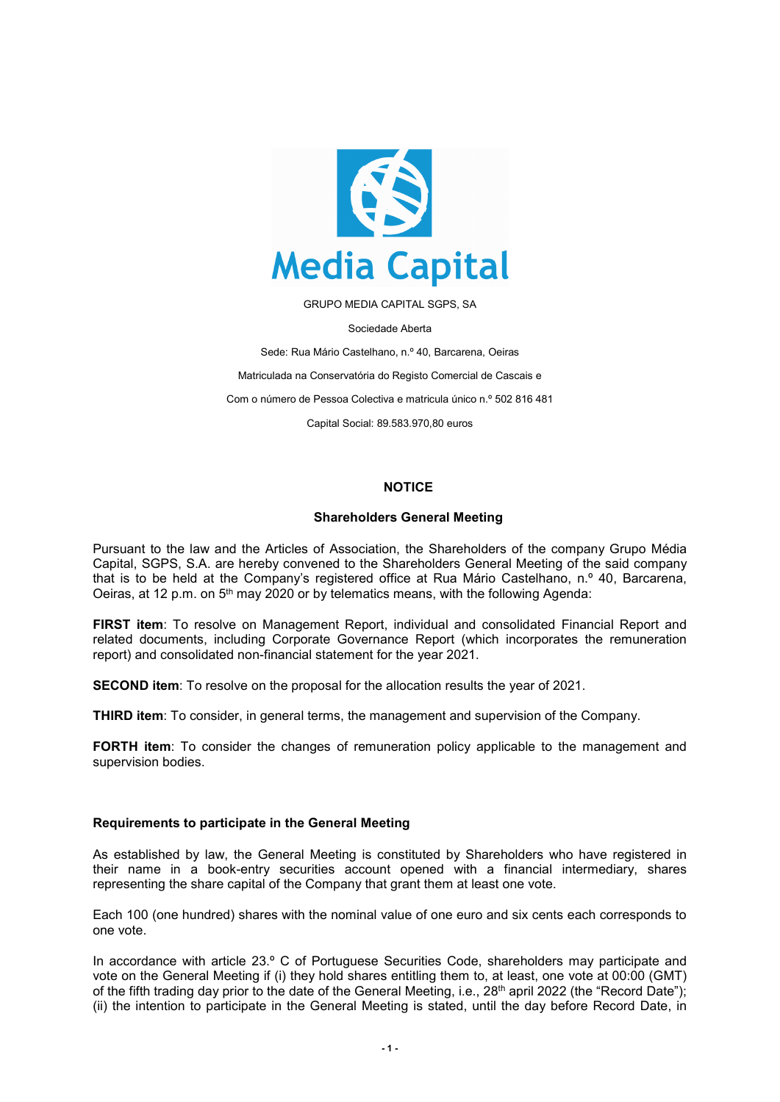

GRUPO MEDIA CAPITAL SGPS, SA

Sociedade Aberta

Sede: Rua Mário Castelhano, n.º 40, Barcarena, Oeiras Matriculada na Conservatória do Registo Comercial de Cascais e Com o número de Pessoa Colectiva e matricula único n.º 502 816 481 Capital Social: 89.583.970,80 euros

# **NOTICE**

#### **Shareholders General Meeting**

Pursuant to the law and the Articles of Association, the Shareholders of the company Grupo Média Capital, SGPS, S.A. are hereby convened to the Shareholders General Meeting of the said company that is to be held at the Company's registered office at Rua Mário Castelhano, n.º 40, Barcarena, Oeiras, at 12 p.m. on 5th may 2020 or by telematics means, with the following Agenda:

**FIRST item**: To resolve on Management Report, individual and consolidated Financial Report and related documents, including Corporate Governance Report (which incorporates the remuneration report) and consolidated non-financial statement for the year 2021.

**SECOND item**: To resolve on the proposal for the allocation results the year of 2021.

**THIRD item**: To consider, in general terms, the management and supervision of the Company.

**FORTH item**: To consider the changes of remuneration policy applicable to the management and supervision bodies.

#### **Requirements to participate in the General Meeting**

As established by law, the General Meeting is constituted by Shareholders who have registered in their name in a book-entry securities account opened with a financial intermediary, shares representing the share capital of the Company that grant them at least one vote.

Each 100 (one hundred) shares with the nominal value of one euro and six cents each corresponds to one vote.

In accordance with article 23.º C of Portuguese Securities Code, shareholders may participate and vote on the General Meeting if (i) they hold shares entitling them to, at least, one vote at 00:00 (GMT) of the fifth trading day prior to the date of the General Meeting, i.e., 28<sup>th</sup> april 2022 (the "Record Date"); (ii) the intention to participate in the General Meeting is stated, until the day before Record Date, in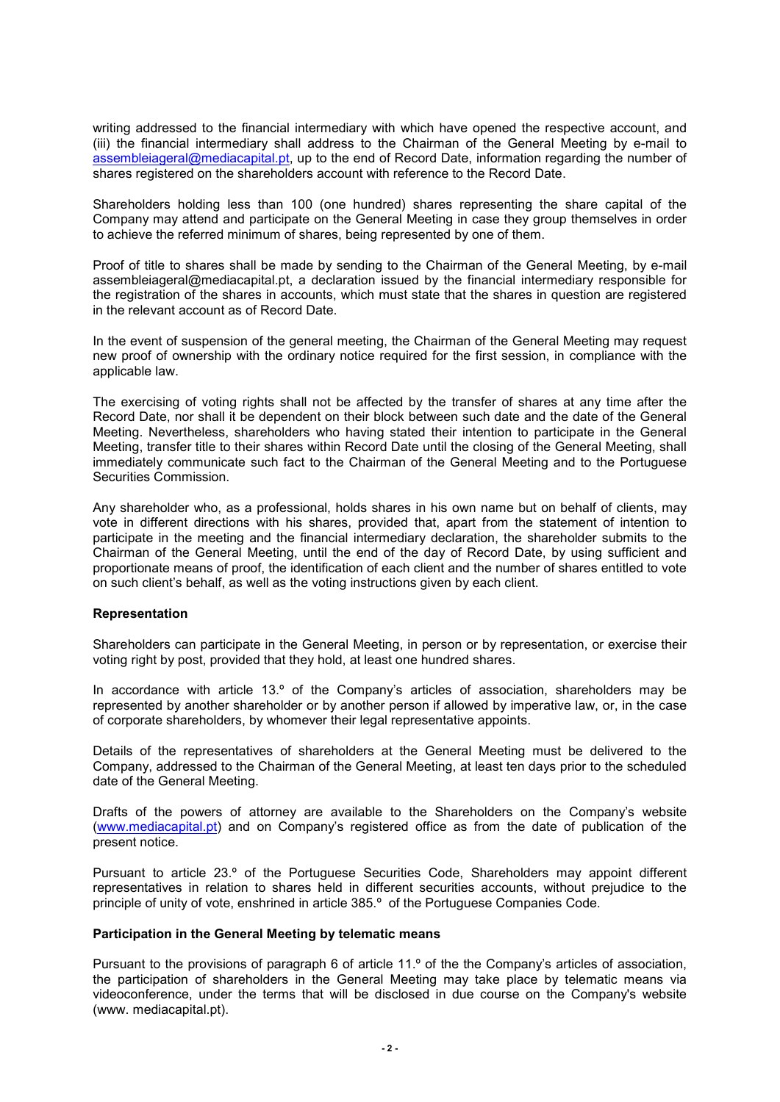writing addressed to the financial intermediary with which have opened the respective account, and (iii) the financial intermediary shall address to the Chairman of the General Meeting by e-mail to [assembleiageral@mediacapital.pt,](mailto:assembleiageral@mediacapital.pt) up to the end of Record Date, information regarding the number of shares registered on the shareholders account with reference to the Record Date.

Shareholders holding less than 100 (one hundred) shares representing the share capital of the Company may attend and participate on the General Meeting in case they group themselves in order to achieve the referred minimum of shares, being represented by one of them.

Proof of title to shares shall be made by sending to the Chairman of the General Meeting, by e-mail assembleiageral@mediacapital.pt, a declaration issued by the financial intermediary responsible for the registration of the shares in accounts, which must state that the shares in question are registered in the relevant account as of Record Date.

In the event of suspension of the general meeting, the Chairman of the General Meeting may request new proof of ownership with the ordinary notice required for the first session, in compliance with the applicable law.

The exercising of voting rights shall not be affected by the transfer of shares at any time after the Record Date, nor shall it be dependent on their block between such date and the date of the General Meeting. Nevertheless, shareholders who having stated their intention to participate in the General Meeting, transfer title to their shares within Record Date until the closing of the General Meeting, shall immediately communicate such fact to the Chairman of the General Meeting and to the Portuguese Securities Commission.

Any shareholder who, as a professional, holds shares in his own name but on behalf of clients, may vote in different directions with his shares, provided that, apart from the statement of intention to participate in the meeting and the financial intermediary declaration, the shareholder submits to the Chairman of the General Meeting, until the end of the day of Record Date, by using sufficient and proportionate means of proof, the identification of each client and the number of shares entitled to vote on such client's behalf, as well as the voting instructions given by each client.

### **Representation**

Shareholders can participate in the General Meeting, in person or by representation, or exercise their voting right by post, provided that they hold, at least one hundred shares.

In accordance with article 13.º of the Company's articles of association, shareholders may be represented by another shareholder or by another person if allowed by imperative law, or, in the case of corporate shareholders, by whomever their legal representative appoints.

Details of the representatives of shareholders at the General Meeting must be delivered to the Company, addressed to the Chairman of the General Meeting, at least ten days prior to the scheduled date of the General Meeting.

Drafts of the powers of attorney are available to the Shareholders on the Company's website [\(www.mediacapital.pt\)](http://www.mediacapital.pt/) and on Company's registered office as from the date of publication of the present notice.

Pursuant to article 23.º of the Portuguese Securities Code, Shareholders may appoint different representatives in relation to shares held in different securities accounts, without prejudice to the principle of unity of vote, enshrined in article 385.º of the Portuguese Companies Code.

### **Participation in the General Meeting by telematic means**

Pursuant to the provisions of paragraph 6 of article 11.º of the the Company's articles of association, the participation of shareholders in the General Meeting may take place by telematic means via videoconference, under the terms that will be disclosed in due course on the Company's website (www. mediacapital.pt).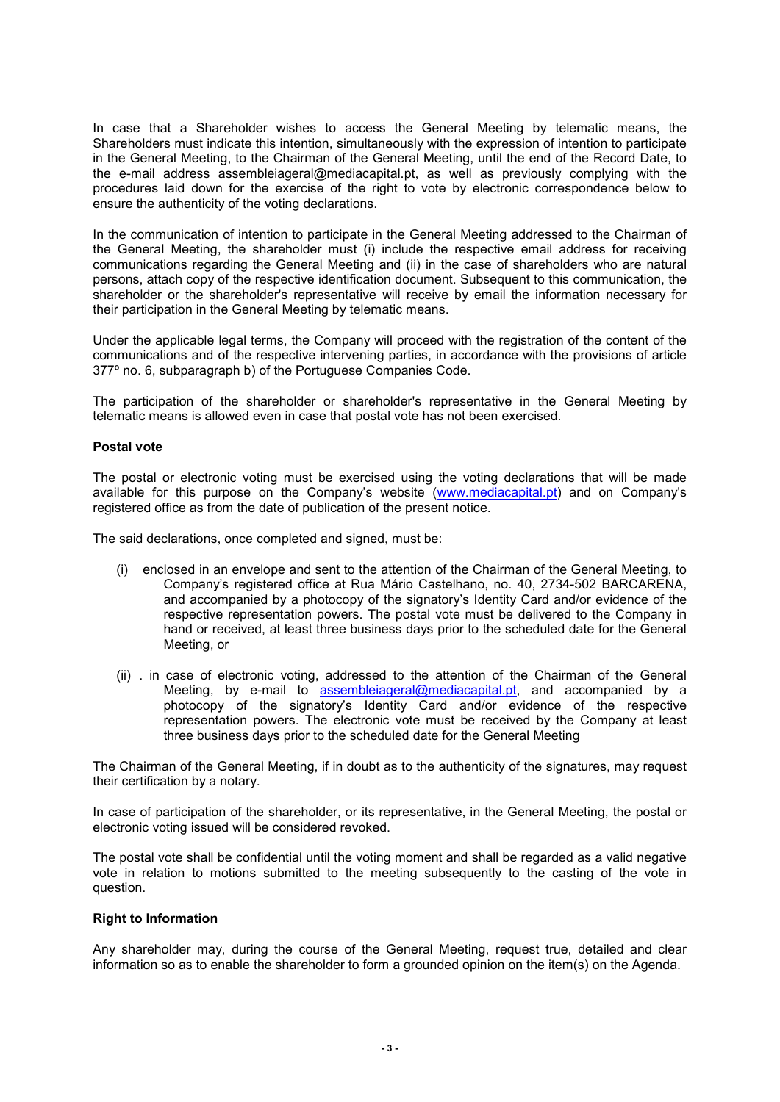In case that a Shareholder wishes to access the General Meeting by telematic means, the Shareholders must indicate this intention, simultaneously with the expression of intention to participate in the General Meeting, to the Chairman of the General Meeting, until the end of the Record Date, to the e-mail address assembleiageral@mediacapital.pt, as well as previously complying with the procedures laid down for the exercise of the right to vote by electronic correspondence below to ensure the authenticity of the voting declarations.

In the communication of intention to participate in the General Meeting addressed to the Chairman of the General Meeting, the shareholder must (i) include the respective email address for receiving communications regarding the General Meeting and (ii) in the case of shareholders who are natural persons, attach copy of the respective identification document. Subsequent to this communication, the shareholder or the shareholder's representative will receive by email the information necessary for their participation in the General Meeting by telematic means.

Under the applicable legal terms, the Company will proceed with the registration of the content of the communications and of the respective intervening parties, in accordance with the provisions of article 377º no. 6, subparagraph b) of the Portuguese Companies Code.

The participation of the shareholder or shareholder's representative in the General Meeting by telematic means is allowed even in case that postal vote has not been exercised.

## **Postal vote**

The postal or electronic voting must be exercised using the voting declarations that will be made available for this purpose on the Company's website [\(www.mediacapital.pt\)](http://www.mediacapital.pt/) and on Company's registered office as from the date of publication of the present notice.

The said declarations, once completed and signed, must be:

- (i) enclosed in an envelope and sent to the attention of the Chairman of the General Meeting, to Company's registered office at Rua Mário Castelhano, no. 40, 2734-502 BARCARENA, and accompanied by a photocopy of the signatory's Identity Card and/or evidence of the respective representation powers. The postal vote must be delivered to the Company in hand or received, at least three business days prior to the scheduled date for the General Meeting, or
- (ii) . in case of electronic voting, addressed to the attention of the Chairman of the General Meeting, by e-mail to [assembleiageral@mediacapital.pt,](mailto:assembleiageral@mediacapital.pt) and accompanied by a photocopy of the signatory's Identity Card and/or evidence of the respective representation powers. The electronic vote must be received by the Company at least three business days prior to the scheduled date for the General Meeting

The Chairman of the General Meeting, if in doubt as to the authenticity of the signatures, may request their certification by a notary.

In case of participation of the shareholder, or its representative, in the General Meeting, the postal or electronic voting issued will be considered revoked.

The postal vote shall be confidential until the voting moment and shall be regarded as a valid negative vote in relation to motions submitted to the meeting subsequently to the casting of the vote in question.

### **Right to Information**

Any shareholder may, during the course of the General Meeting, request true, detailed and clear information so as to enable the shareholder to form a grounded opinion on the item(s) on the Agenda.